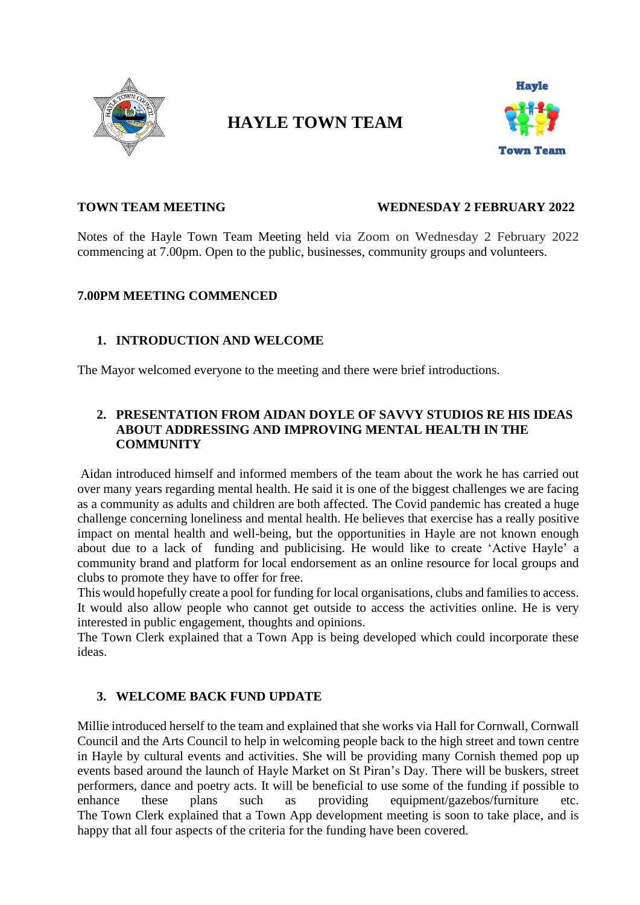

# **HAYLE TOWN TEAM**



#### **TOWN TEAM MEETING WEDNESDAY 2 FEBRUARY 2022**

Notes of the Hayle Town Team Meeting held via Zoom on Wednesday 2 February 2022 commencing at 7.00pm. Open to the public, businesses, community groups and volunteers.

#### **7.00PM MEETING COMMENCED**

# **1. INTRODUCTION AND WELCOME**

The Mayor welcomed everyone to the meeting and there were brief introductions.

# **2. PRESENTATION FROM AIDAN DOYLE OF SAVVY STUDIOS RE HIS IDEAS ABOUT ADDRESSING AND IMPROVING MENTAL HEALTH IN THE COMMUNITY**

Aidan introduced himself and informed members of the team about the work he has carried out over many years regarding mental health. He said it is one of the biggest challenges we are facing as a community as adults and children are both affected. The Covid pandemic has created a huge challenge concerning loneliness and mental health. He believes that exercise has a really positive impact on mental health and well-being, but the opportunities in Hayle are not known enough about due to a lack of funding and publicising. He would like to create 'Active Hayle' a community brand and platform for local endorsement as an online resource for local groups and clubs to promote they have to offer for free.

This would hopefully create a pool for funding for local organisations, clubs and families to access. It would also allow people who cannot get outside to access the activities online. He is very interested in public engagement, thoughts and opinions.

The Town Clerk explained that a Town App is being developed which could incorporate these ideas.

# **3. WELCOME BACK FUND UPDATE**

Millie introduced herself to the team and explained that she works via Hall for Cornwall, Cornwall Council and the Arts Council to help in welcoming people back to the high street and town centre in Hayle by cultural events and activities. She will be providing many Cornish themed pop up events based around the launch of Hayle Market on St Piran's Day. There will be buskers, street performers, dance and poetry acts. It will be beneficial to use some of the funding if possible to enhance these plans such as providing equipment/gazebos/furniture etc. The Town Clerk explained that a Town App development meeting is soon to take place, and is happy that all four aspects of the criteria for the funding have been covered.